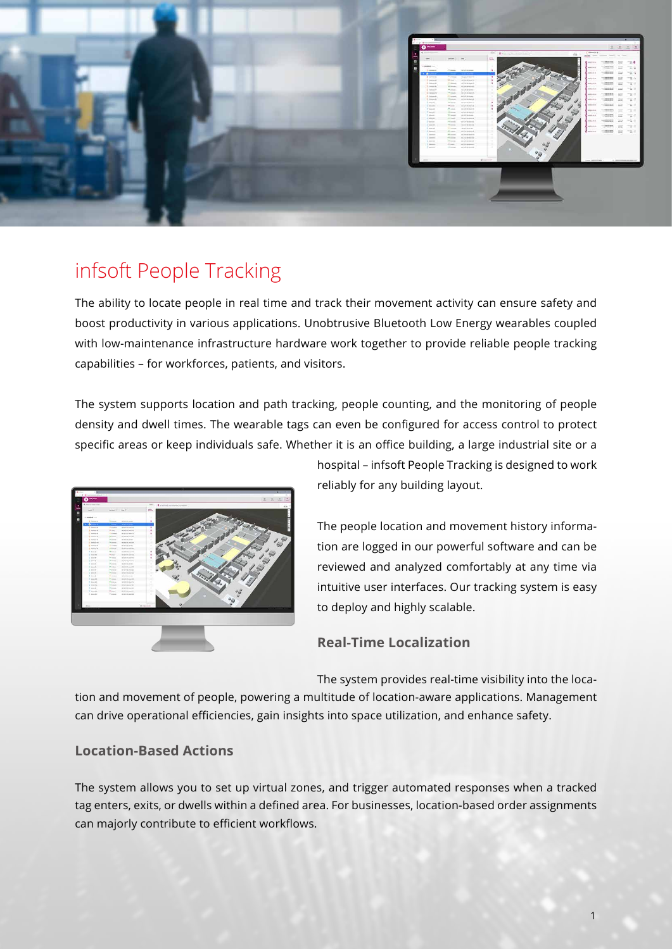

# infsoft People Tracking

The ability to locate people in real time and track their movement activity can ensure safety and boost productivity in various applications. Unobtrusive Bluetooth Low Energy wearables coupled with low-maintenance infrastructure hardware work together to provide reliable people tracking capabilities – for workforces, patients, and visitors.

The system supports location and path tracking, people counting, and the monitoring of people density and dwell times. The wearable tags can even be configured for access control to protect specific areas or keep individuals safe. Whether it is an office building, a large industrial site or a



hospital – infsoft People Tracking is designed to work reliably for any building layout.

The people location and movement history information are logged in our powerful software and can be reviewed and analyzed comfortably at any time via intuitive user interfaces. Our tracking system is easy to deploy and highly scalable.

### **Real-Time Localization**

The system provides real-time visibility into the loca-

tion and movement of people, powering a multitude of location-aware applications. Management can drive operational efficiencies, gain insights into space utilization, and enhance safety.

#### **Location-Based Actions**

The system allows you to set up virtual zones, and trigger automated responses when a tracked tag enters, exits, or dwells within a defined area. For businesses, location-based order assignments can majorly contribute to efficient workflows.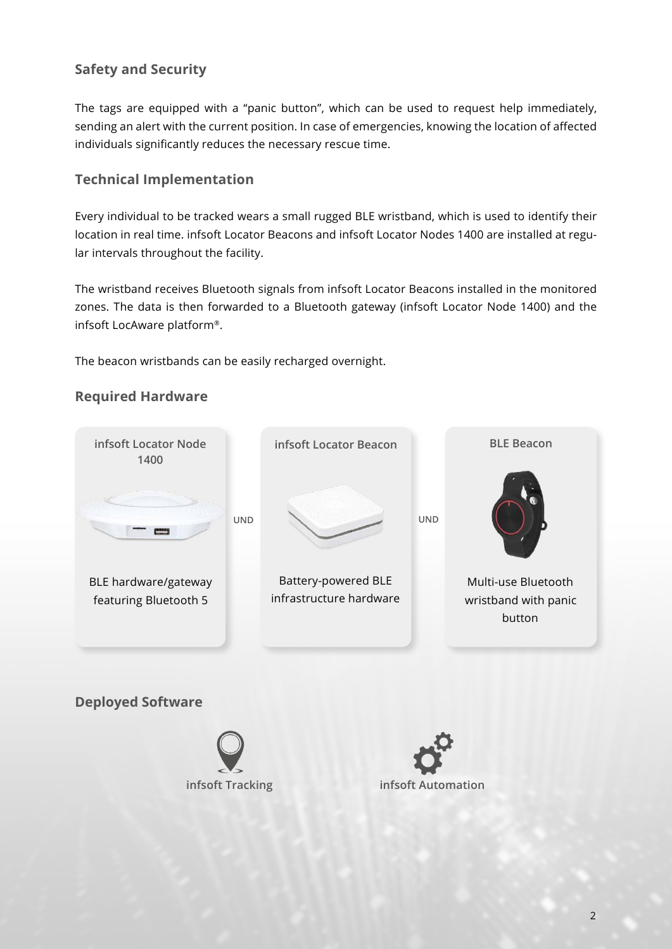# **Safety and Security**

The tags are equipped with a "panic button", which can be used to request help immediately, sending an alert with the current position. In case of emergencies, knowing the location of affected individuals significantly reduces the necessary rescue time.

## **Technical Implementation**

Every individual to be tracked wears a small rugged BLE wristband, which is used to identify their location in real time. infsoft Locator Beacons and infsoft Locator Nodes 1400 are installed at regular intervals throughout the facility.

The wristband receives Bluetooth signals from infsoft Locator Beacons installed in the monitored zones. The data is then forwarded to a Bluetooth gateway (infsoft Locator Node 1400) and the infsoft LocAware platform®.

The beacon wristbands can be easily recharged overnight.

### **Required Hardware**



**Deployed Software**